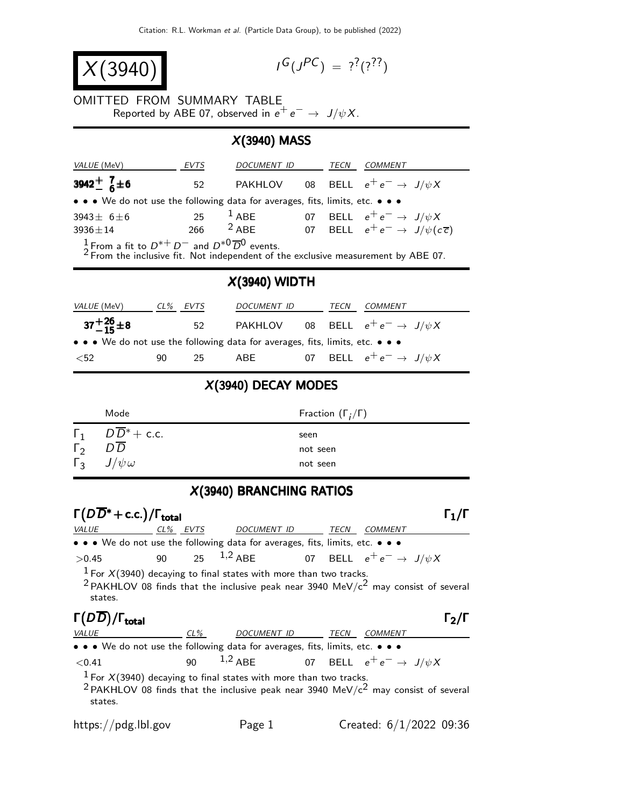$X(3940)$ 

 $G(J^{PC}) = ?^{?}(?)^{?}$ 

OMITTED FROM SUMMARY TABLE Reported by ABE 07, observed in  $e^+e^- \rightarrow J/\psi X$ .

## X(3940) MASS

| <i>VALUE</i> (MeV)                                                                                                                                                         | EVTS     | DOCUMENT ID |  | TECN | <i>COMMENT</i>                                                          |
|----------------------------------------------------------------------------------------------------------------------------------------------------------------------------|----------|-------------|--|------|-------------------------------------------------------------------------|
| 3942 <sup>+</sup> $^{7}_{6}\pm 6$                                                                                                                                          | 52       |             |  |      | PAKHLOV 08 BELL $e^+e^- \rightarrow J/\psi X$                           |
| $\bullet \bullet \bullet$ We do not use the following data for averages, fits, limits, etc. $\bullet \bullet \bullet$                                                      |          |             |  |      |                                                                         |
| $3943+6+6$                                                                                                                                                                 |          |             |  |      | 25 $^1$ ABE 07 BELL $e^+e^- \rightarrow J/\psi X$                       |
| $3936 \pm 14$                                                                                                                                                              |          |             |  |      | 266 <sup>2</sup> ABE 07 BELL $e^+e^- \rightarrow J/\psi(c\overline{c})$ |
| $\frac{1}{2}$ From a fit to $D^{*+}D^-$ and $D^{*0}\overline{D}^0$ events.<br><sup>2</sup> From the inclusive fit. Not independent of the exclusive measurement by ABE 07. |          |             |  |      |                                                                         |
| $X(3940)$ WIDTH                                                                                                                                                            |          |             |  |      |                                                                         |
| <i>VALUE</i> (MeV)                                                                                                                                                         | CL% EVTS | DOCUMENT ID |  | TECN | COMMENT                                                                 |
| $37 + \frac{26}{15} \pm 8$                                                                                                                                                 | 52       |             |  |      | PAKHLOV 08 BELL $e^+e^- \rightarrow J/\psi X$                           |
|                                                                                                                                                                            |          |             |  |      |                                                                         |

## X(3940) DECAY MODES

 $<$ 52 90 25 ABE 07 BELL  $e^+e^ \rightarrow$   $J/\psi X$ 

|              | Mode                     | Fraction $(\Gamma_i/\Gamma)$ |
|--------------|--------------------------|------------------------------|
| $\Gamma_1$   | $D\overline{D}^*$ + c.c. | seen                         |
| $\Gamma_{2}$ | DD                       | not seen                     |
| $\Gamma_3$   | $J/\psi \omega$          | not seen                     |

## X(3940) BRANCHING RATIOS

| $\Gamma(D\overline{D}^*+c.c.)/\Gamma_{\text{total}}$                          |    |        |                                                                                                                                                                                     |  |             |                |                           |
|-------------------------------------------------------------------------------|----|--------|-------------------------------------------------------------------------------------------------------------------------------------------------------------------------------------|--|-------------|----------------|---------------------------|
| VALUE                                                                         |    |        | <u>CL% EVTS DOCUMENT ID TECN</u>                                                                                                                                                    |  |             | <b>COMMENT</b> |                           |
| • • • We do not use the following data for averages, fits, limits, etc. • • • |    |        |                                                                                                                                                                                     |  |             |                |                           |
| >0.45                                                                         | 90 |        | 25 $^{1,2}$ ABE 07 BELL $e^+e^- \rightarrow \frac{J}{\psi}X$                                                                                                                        |  |             |                |                           |
| states.                                                                       |    |        | <sup>1</sup> For $X(3940)$ decaying to final states with more than two tracks.<br><sup>2</sup> PAKHLOV 08 finds that the inclusive peak near 3940 MeV/ $c^2$ may consist of several |  |             |                |                           |
| $\Gamma(D\overline{D})/\Gamma_{\text{total}}$                                 |    |        |                                                                                                                                                                                     |  |             |                | $l_2/l$                   |
| <b>VALUE</b>                                                                  |    | $CL\%$ | DOCUMENT ID                                                                                                                                                                         |  | <b>TECN</b> | <b>COMMENT</b> |                           |
| • • • We do not use the following data for averages, fits, limits, etc. • • • |    |        |                                                                                                                                                                                     |  |             |                |                           |
| ${<}0.41$                                                                     |    | 90     | $^{1,2}$ ABE $\qquad \qquad$ 07 BELL $\,$ e <sup>+</sup> e <sup><math>-</math></sup> $\rightarrow \,$ J/ $\psi X$                                                                   |  |             |                |                           |
| states.                                                                       |    |        | <sup>1</sup> For $X(3940)$ decaying to final states with more than two tracks.<br><sup>2</sup> PAKHLOV 08 finds that the inclusive peak near 3940 MeV/ $c^2$ may consist of several |  |             |                |                           |
| https://pdg.lbl.gov                                                           |    |        | Page 1                                                                                                                                                                              |  |             |                | Created: $6/1/2022$ 09:36 |